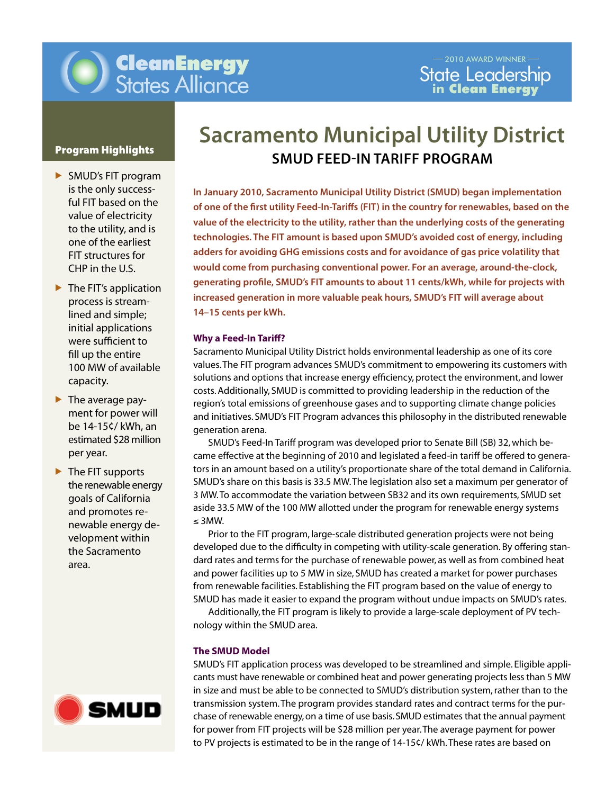

- SMUD's FIT program is the only successful FIT based on the value of electricity to the utility, and is one of the earliest FIT structures for CHP in the U.S.
- $\blacktriangleright$  The FIT's application process is streamlined and simple; initial applications were sufficient to fill up the entire 100 MW of available capacity.
- $\blacktriangleright$  The average payment for power will be 14-15¢/ kWh, an estimated \$28 million per year.
- $\blacktriangleright$  The FIT supports the renewable energy goals of California and promotes renewable energy development within the Sacramento area.



# **Sacramento Municipal Utility District Frogram Highlights SMUD FEED-IN TARIFF PROGRAM**

**In January 2010, Sacramento Municipal Utility District (SMUD) began implementation of one of the first utility Feed-In-Tariffs (FIT) in the country for renewables, based on the value of the electricity to the utility, rather than the underlying costs of the generating technologies. The FIT amount is based upon SMUD's avoided cost of energy, including adders for avoiding GHG emissions costs and for avoidance of gas price volatility that would come from purchasing conventional power. For an average, around-the-clock, generating profile, SMUD's FIT amounts to about 11 cents/kWh, while for projects with increased generation in more valuable peak hours, SMUD's FIT will average about 14–15 cents per kWh.**

#### **Why a Feed-In Tariff?**

Sacramento Municipal Utility District holds environmental leadership as one of its core values. The FIT program advances SMUD's commitment to empowering its customers with solutions and options that increase energy efficiency, protect the environment, and lower costs. Additionally, SMUD is committed to providing leadership in the reduction of the region's total emissions of greenhouse gases and to supporting climate change policies and initiatives. SMUD's FIT Program advances this philosophy in the distributed renewable generation arena.

SMUD's Feed-In Tariff program was developed prior to Senate Bill (SB) 32, which became effective at the beginning of 2010 and legislated a feed-in tariff be offered to generators in an amount based on a utility's proportionate share of the total demand in California. SMUD's share on this basis is 33.5 MW. The legislation also set a maximum per generator of 3 MW. To accommodate the variation between SB32 and its own requirements, SMUD set aside 33.5 MW of the 100 MW allotted under the program for renewable energy systems ≤ 3MW.

Prior to the FIT program, large-scale distributed generation projects were not being developed due to the difficulty in competing with utility-scale generation. By offering standard rates and terms for the purchase of renewable power, as well as from combined heat and power facilities up to 5 MW in size, SMUD has created a market for power purchases from renewable facilities. Establishing the FIT program based on the value of energy to SMUD has made it easier to expand the program without undue impacts on SMUD's rates.

Additionally, the FIT program is likely to provide a large-scale deployment of PV technology within the SMUD area.

## **The SMUD Model**

SMUD's FIT application process was developed to be streamlined and simple. Eligible applicants must have renewable or combined heat and power generating projects less than 5 MW in size and must be able to be connected to SMUD's distribution system, rather than to the transmission system. The program provides standard rates and contract terms for the purchase of renewable energy, on a time of use basis. SMUD estimates that the annual payment for power from FIT projects will be \$28 million per year. The average payment for power to PV projects is estimated to be in the range of 14-15¢/ kWh. These rates are based on